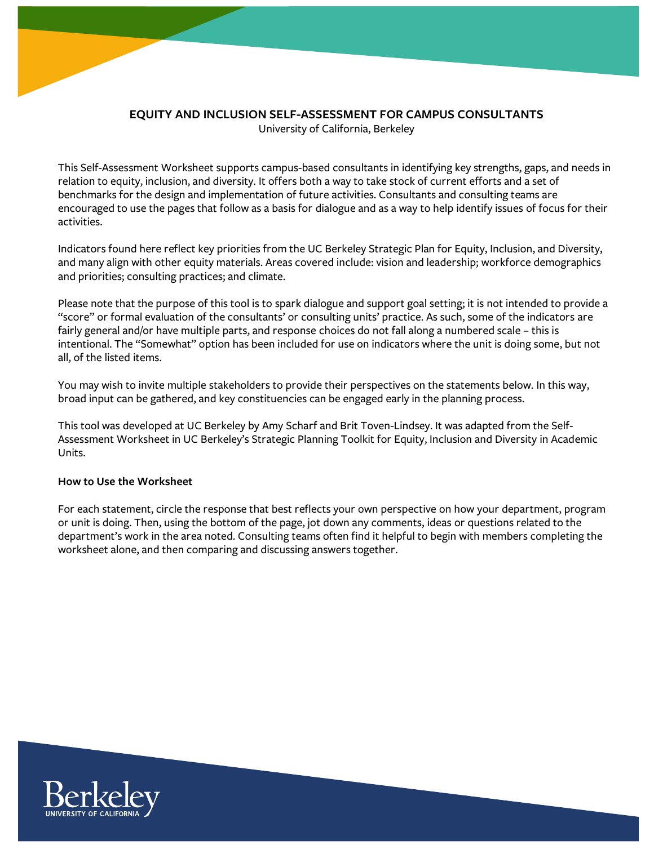

## **EQUITY AND INCLUSION SELF-ASSESSMENT FOR CAMPUS CONSULTANTS** University of California, Berkeley

This Self-Assessment Worksheet supports campus-based consultants in identifying key strengths, gaps, and needs in relation to equity, inclusion, and diversity. It offers both a way to take stock of current efforts and a set of benchmarks for the design and implementation of future activities. Consultants and consulting teams are encouraged to use the pages that follow as a basis for dialogue and as a way to help identify issues of focus for their activities.

Indicators found here reflect key priorities from the UC Berkeley Strategic Plan for Equity, Inclusion, and Diversity, and many align with other equity materials. Areas covered include: vision and leadership; workforce demographics and priorities; consulting practices; and climate.

Please note that the purpose of this tool is to spark dialogue and support goal setting; it is not intended to provide a "score" or formal evaluation of the consultants' or consulting units' practice. As such, some of the indicators are fairly general and/or have multiple parts, and response choices do not fall along a numbered scale – this is intentional. The "Somewhat" option has been included for use on indicators where the unit is doing some, but not all, of the listed items.

You may wish to invite multiple stakeholders to provide their perspectives on the statements below. In this way, broad input can be gathered, and key constituencies can be engaged early in the planning process.

This tool was developed at UC Berkeley by Amy Scharf and Brit Toven-Lindsey. It was adapted from the Self-Assessment Worksheet in UC Berkeley's Strategic Planning Toolkit for Equity, Inclusion and Diversity in Academic Units.

# **How to Use the Worksheet**

For each statement, circle the response that best reflects your own perspective on how your department, program or unit is doing. Then, using the bottom of the page, jot down any comments, ideas or questions related to the department's work in the area noted. Consulting teams often find it helpful to begin with members completing the worksheet alone, and then comparing and discussing answers together.

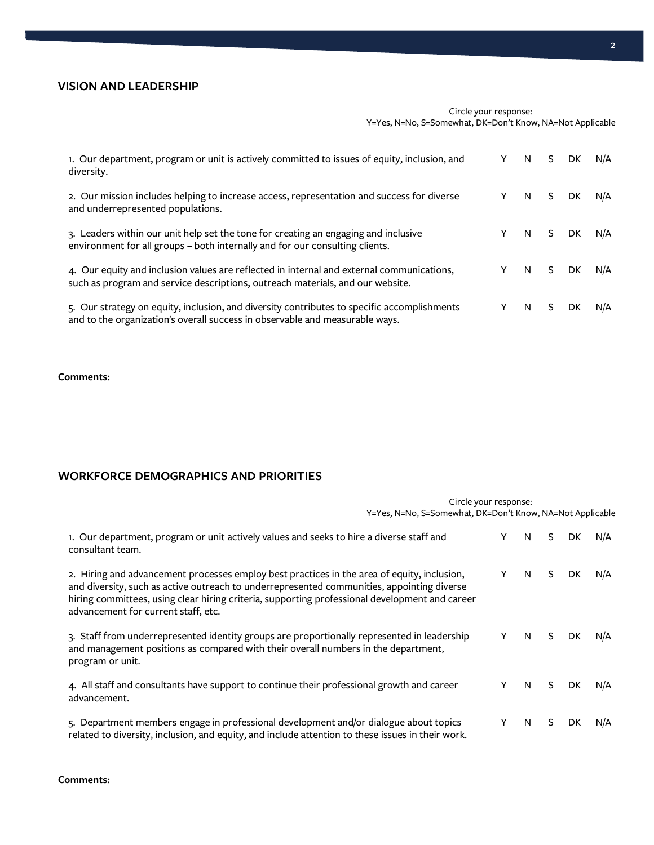## **VISION AND LEADERSHIP**

### Circle your response: Y=Yes, N=No, S=Somewhat, DK=Don't Know, NA=Not Applicable

| 1. Our department, program or unit is actively committed to issues of equity, inclusion, and<br>diversity.                                                                  | N.  | S. | DK.  | N/A |
|-----------------------------------------------------------------------------------------------------------------------------------------------------------------------------|-----|----|------|-----|
| 2. Our mission includes helping to increase access, representation and success for diverse<br>and underrepresented populations.                                             | N.  | S  | DK.  | N/A |
| 3. Leaders within our unit help set the tone for creating an engaging and inclusive<br>environment for all groups - both internally and for our consulting clients.         | Y N |    | S DK | N/A |
| 4. Our equity and inclusion values are reflected in internal and external communications,<br>such as program and service descriptions, outreach materials, and our website. | Y N |    | S DK | N/A |
| 5. Our strategy on equity, inclusion, and diversity contributes to specific accomplishments<br>and to the organization's overall success in observable and measurable ways. | N.  | S. | DK.  | N/A |

#### **Comments:**

# **WORKFORCE DEMOGRAPHICS AND PRIORITIES**

| Circle your response:<br>Y=Yes, N=No, S=Somewhat, DK=Don't Know, NA=Not Applicable                                                                                                                                                                                                                                                 |   |    |    |     |     |
|------------------------------------------------------------------------------------------------------------------------------------------------------------------------------------------------------------------------------------------------------------------------------------------------------------------------------------|---|----|----|-----|-----|
| 1. Our department, program or unit actively values and seeks to hire a diverse staff and<br>consultant team.                                                                                                                                                                                                                       |   | N  | S. | DK. | N/A |
| 2. Hiring and advancement processes employ best practices in the area of equity, inclusion,<br>and diversity, such as active outreach to underrepresented communities, appointing diverse<br>hiring committees, using clear hiring criteria, supporting professional development and career<br>advancement for current staff, etc. | Υ | N. | S. | DK. | N/A |
| 3. Staff from underrepresented identity groups are proportionally represented in leadership<br>and management positions as compared with their overall numbers in the department,<br>program or unit.                                                                                                                              | Υ | N. | S. | DK. | N/A |
| 4. All staff and consultants have support to continue their professional growth and career<br>advancement.                                                                                                                                                                                                                         | Y | N. | S. | DK. | N/A |
| 5. Department members engage in professional development and/or dialogue about topics<br>related to diversity, inclusion, and equity, and include attention to these issues in their work.                                                                                                                                         |   | N  | S  | DK. | N/A |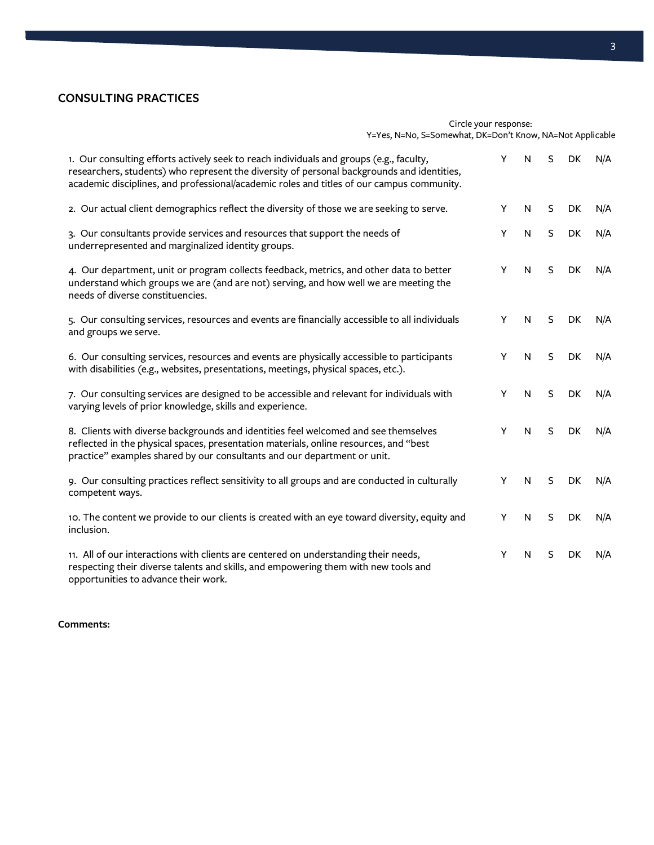# **CONSULTING PRACTICES**

#### Circle your response: Y=Yes, N=No, S=Somewhat, DK=Don't Know, NA=Not Applicable

| 1. Our consulting efforts actively seek to reach individuals and groups (e.g., faculty,<br>researchers, students) who represent the diversity of personal backgrounds and identities,<br>academic disciplines, and professional/academic roles and titles of our campus community. | Y | N | S            | DK | N/A |
|------------------------------------------------------------------------------------------------------------------------------------------------------------------------------------------------------------------------------------------------------------------------------------|---|---|--------------|----|-----|
| 2. Our actual client demographics reflect the diversity of those we are seeking to serve.                                                                                                                                                                                          | Y | N | S            | DK | N/A |
| 3. Our consultants provide services and resources that support the needs of<br>underrepresented and marginalized identity groups.                                                                                                                                                  | Y | N | S            | DK | N/A |
| 4. Our department, unit or program collects feedback, metrics, and other data to better<br>understand which groups we are (and are not) serving, and how well we are meeting the<br>needs of diverse constituencies.                                                               | Y | N | S            | DK | N/A |
| 5. Our consulting services, resources and events are financially accessible to all individuals<br>and groups we serve.                                                                                                                                                             | Y | N | <sub>S</sub> | DK | N/A |
| 6. Our consulting services, resources and events are physically accessible to participants<br>with disabilities (e.g., websites, presentations, meetings, physical spaces, etc.).                                                                                                  | Y | N | S            | DK | N/A |
| 7. Our consulting services are designed to be accessible and relevant for individuals with<br>varying levels of prior knowledge, skills and experience.                                                                                                                            | Y | N | S            | DK | N/A |
| 8. Clients with diverse backgrounds and identities feel welcomed and see themselves<br>reflected in the physical spaces, presentation materials, online resources, and "best<br>practice" examples shared by our consultants and our department or unit.                           | Y | N | S            | DK | N/A |
| 9. Our consulting practices reflect sensitivity to all groups and are conducted in culturally<br>competent ways.                                                                                                                                                                   | Y | N | S            | DK | N/A |
| 10. The content we provide to our clients is created with an eye toward diversity, equity and<br>inclusion.                                                                                                                                                                        | Y | N | <sub>S</sub> | DK | N/A |
| 11. All of our interactions with clients are centered on understanding their needs,<br>respecting their diverse talents and skills, and empowering them with new tools and<br>opportunities to advance their work.                                                                 | Y | N | S            | DK | N/A |

## **Comments:**